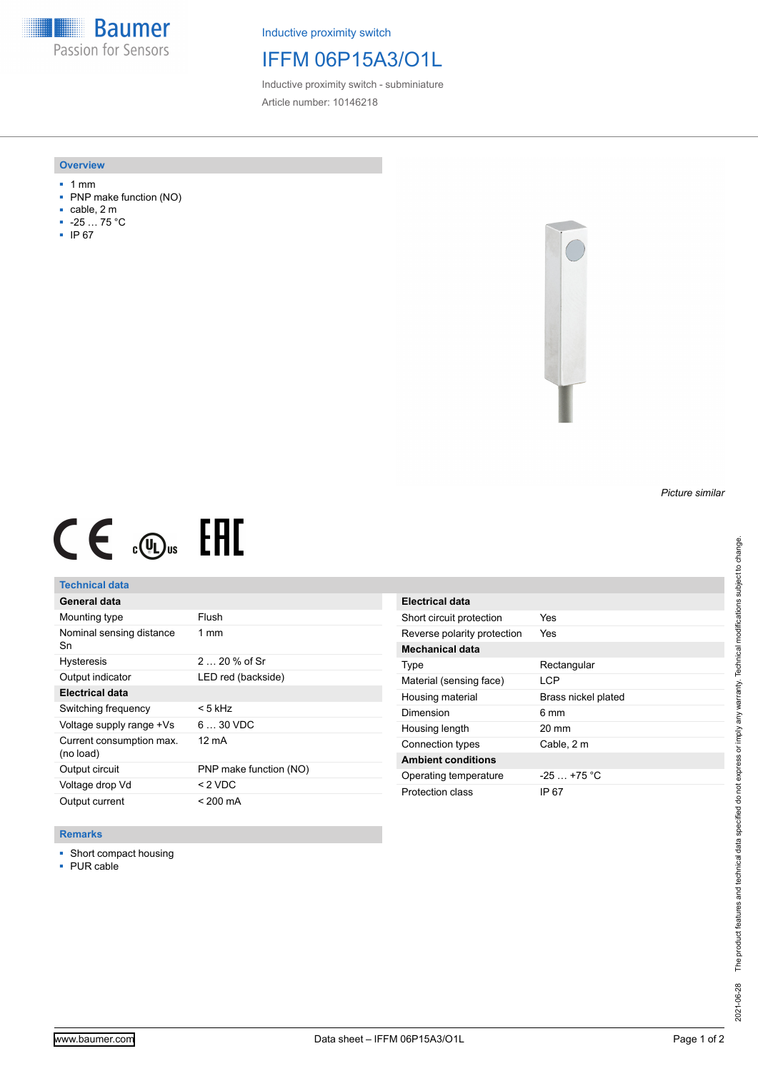**Baumer** Passion for Sensors

Inductive proximity switch

# IFFM 06P15A3/O1L

Inductive proximity switch - subminiature Article number: 10146218

### **Overview**

- 1 mm
- PNP make function (NO)
- cable, 2 m
- -25 … 75 °C
- IP 67



# $CE \mathcal{L}$  (Dus FRE

## **Technical data**

| General data                          |                        |
|---------------------------------------|------------------------|
| Mounting type                         | Flush                  |
| Nominal sensing distance<br>Sn        | $1 \text{ mm}$         |
| <b>Hysteresis</b>                     | $220%$ of Sr           |
| Output indicator                      | LED red (backside)     |
| <b>Electrical data</b>                |                        |
| Switching frequency                   | < 5 kHz                |
| Voltage supply range +Vs              | $630$ VDC              |
| Current consumption max.<br>(no load) | 12 mA                  |
| Output circuit                        | PNP make function (NO) |
| Voltage drop Vd                       | < 2 VDC                |
| Output current                        | < 200 mA               |

| Electrical data             |                     |
|-----------------------------|---------------------|
| Short circuit protection    | Yes                 |
| Reverse polarity protection | Yes                 |
| Mechanical data             |                     |
| Type                        | Rectangular         |
| Material (sensing face)     | I CP                |
| Housing material            | Brass nickel plated |
| Dimension                   | 6 mm                |
| Housing length              | $20 \text{ mm}$     |
| Connection types            | Cable, 2 m          |
| <b>Ambient conditions</b>   |                     |
| Operating temperature       | $-25 + 75$ °C       |
| Protection class            | IP 67               |

### **Remarks**

■ Short compact housing

■ PUR cable

*Picture similar*